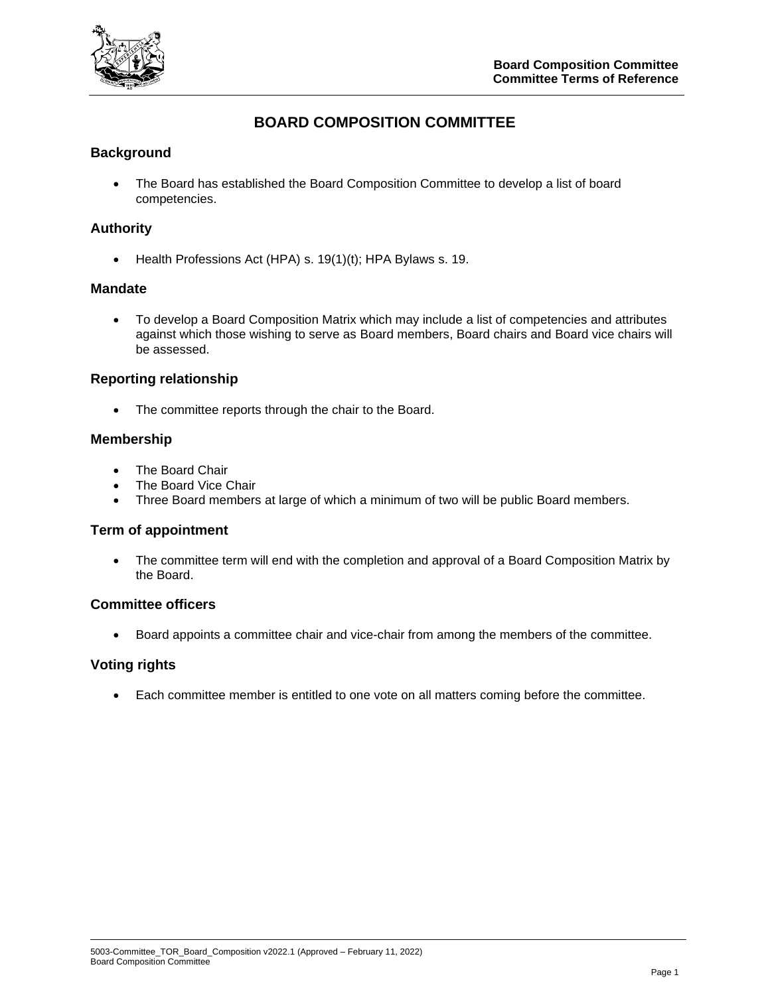

# **BOARD COMPOSITION COMMITTEE**

## **Background**

• The Board has established the Board Composition Committee to develop a list of board competencies.

## **Authority**

• Health Professions Act (HPA) s. 19(1)(t); HPA Bylaws s. 19.

### **Mandate**

• To develop a Board Composition Matrix which may include a list of competencies and attributes against which those wishing to serve as Board members, Board chairs and Board vice chairs will be assessed.

### **Reporting relationship**

• The committee reports through the chair to the Board.

#### **Membership**

- The Board Chair
- The Board Vice Chair
- Three Board members at large of which a minimum of two will be public Board members.

### **Term of appointment**

• The committee term will end with the completion and approval of a Board Composition Matrix by the Board.

### **Committee officers**

• Board appoints a committee chair and vice-chair from among the members of the committee.

#### **Voting rights**

• Each committee member is entitled to one vote on all matters coming before the committee.